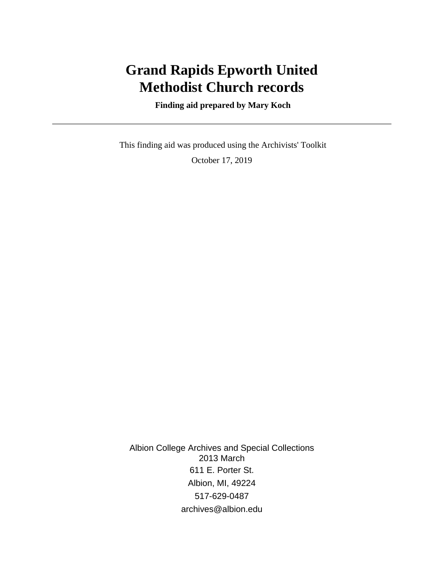# **Grand Rapids Epworth United Methodist Church records**

 **Finding aid prepared by Mary Koch**

 This finding aid was produced using the Archivists' Toolkit October 17, 2019

Albion College Archives and Special Collections 2013 March 611 E. Porter St. Albion, MI, 49224 517-629-0487 archives@albion.edu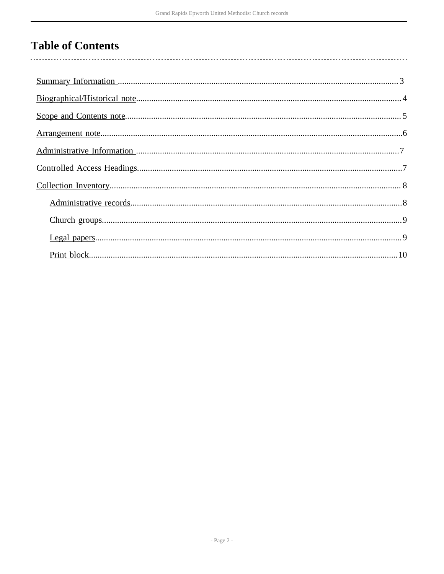## **Table of Contents**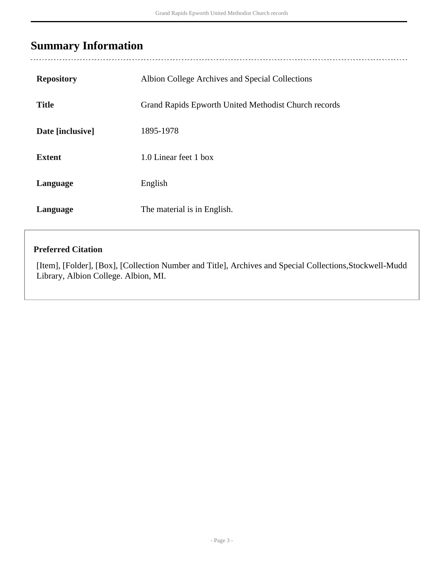## <span id="page-2-0"></span>**Summary Information**

| <b>Repository</b> | Albion College Archives and Special Collections      |
|-------------------|------------------------------------------------------|
| <b>Title</b>      | Grand Rapids Epworth United Methodist Church records |
| Date [inclusive]  | 1895-1978                                            |
| <b>Extent</b>     | 1.0 Linear feet 1 box                                |
| Language          | English                                              |
| Language          | The material is in English.                          |

#### **Preferred Citation**

[Item], [Folder], [Box], [Collection Number and Title], Archives and Special Collections,Stockwell-Mudd Library, Albion College. Albion, MI.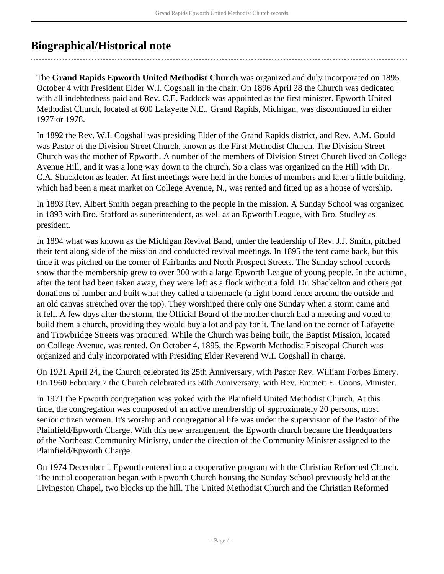## <span id="page-3-0"></span>**Biographical/Historical note**

The **Grand Rapids Epworth United Methodist Church** was organized and duly incorporated on 1895 October 4 with President Elder W.I. Cogshall in the chair. On 1896 April 28 the Church was dedicated with all indebtedness paid and Rev. C.E. Paddock was appointed as the first minister. Epworth United Methodist Church, located at 600 Lafayette N.E., Grand Rapids, Michigan, was discontinued in either 1977 or 1978.

In 1892 the Rev. W.I. Cogshall was presiding Elder of the Grand Rapids district, and Rev. A.M. Gould was Pastor of the Division Street Church, known as the First Methodist Church. The Division Street Church was the mother of Epworth. A number of the members of Division Street Church lived on College Avenue Hill, and it was a long way down to the church. So a class was organized on the Hill with Dr. C.A. Shackleton as leader. At first meetings were held in the homes of members and later a little building, which had been a meat market on College Avenue, N., was rented and fitted up as a house of worship.

In 1893 Rev. Albert Smith began preaching to the people in the mission. A Sunday School was organized in 1893 with Bro. Stafford as superintendent, as well as an Epworth League, with Bro. Studley as president.

In 1894 what was known as the Michigan Revival Band, under the leadership of Rev. J.J. Smith, pitched their tent along side of the mission and conducted revival meetings. In 1895 the tent came back, but this time it was pitched on the corner of Fairbanks and North Prospect Streets. The Sunday school records show that the membership grew to over 300 with a large Epworth League of young people. In the autumn, after the tent had been taken away, they were left as a flock without a fold. Dr. Shackelton and others got donations of lumber and built what they called a tabernacle (a light board fence around the outside and an old canvas stretched over the top). They worshiped there only one Sunday when a storm came and it fell. A few days after the storm, the Official Board of the mother church had a meeting and voted to build them a church, providing they would buy a lot and pay for it. The land on the corner of Lafayette and Trowbridge Streets was procured. While the Church was being built, the Baptist Mission, located on College Avenue, was rented. On October 4, 1895, the Epworth Methodist Episcopal Church was organized and duly incorporated with Presiding Elder Reverend W.I. Cogshall in charge.

On 1921 April 24, the Church celebrated its 25th Anniversary, with Pastor Rev. William Forbes Emery. On 1960 February 7 the Church celebrated its 50th Anniversary, with Rev. Emmett E. Coons, Minister.

In 1971 the Epworth congregation was yoked with the Plainfield United Methodist Church. At this time, the congregation was composed of an active membership of approximately 20 persons, most senior citizen women. It's worship and congregational life was under the supervision of the Pastor of the Plainfield/Epworth Charge. With this new arrangement, the Epworth church became the Headquarters of the Northeast Community Ministry, under the direction of the Community Minister assigned to the Plainfield/Epworth Charge.

On 1974 December 1 Epworth entered into a cooperative program with the Christian Reformed Church. The initial cooperation began with Epworth Church housing the Sunday School previously held at the Livingston Chapel, two blocks up the hill. The United Methodist Church and the Christian Reformed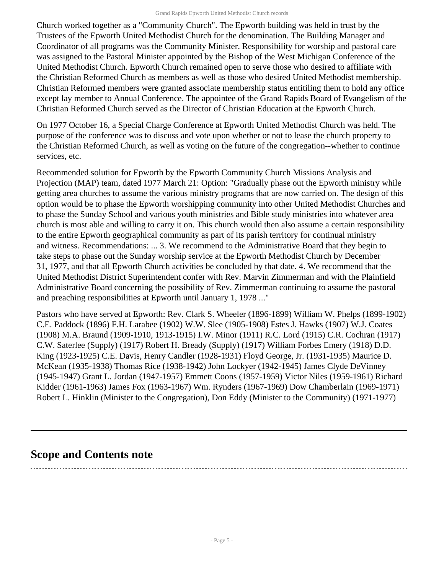Church worked together as a "Community Church". The Epworth building was held in trust by the Trustees of the Epworth United Methodist Church for the denomination. The Building Manager and Coordinator of all programs was the Community Minister. Responsibility for worship and pastoral care was assigned to the Pastoral Minister appointed by the Bishop of the West Michigan Conference of the United Methodist Church. Epworth Church remained open to serve those who desired to affiliate with the Christian Reformed Church as members as well as those who desired United Methodist membership. Christian Reformed members were granted associate membership status entitiling them to hold any office except lay member to Annual Conference. The appointee of the Grand Rapids Board of Evangelism of the Christian Reformed Church served as the Director of Christian Education at the Epworth Church.

On 1977 October 16, a Special Charge Conference at Epworth United Methodist Church was held. The purpose of the conference was to discuss and vote upon whether or not to lease the church property to the Christian Reformed Church, as well as voting on the future of the congregation--whether to continue services, etc.

Recommended solution for Epworth by the Epworth Community Church Missions Analysis and Projection (MAP) team, dated 1977 March 21: Option: "Gradually phase out the Epworth ministry while getting area churches to assume the various ministry programs that are now carried on. The design of this option would be to phase the Epworth worshipping community into other United Methodist Churches and to phase the Sunday School and various youth ministries and Bible study ministries into whatever area church is most able and willing to carry it on. This church would then also assume a certain responsibility to the entire Epworth geographical community as part of its parish territory for continual ministry and witness. Recommendations: ... 3. We recommend to the Administrative Board that they begin to take steps to phase out the Sunday worship service at the Epworth Methodist Church by December 31, 1977, and that all Epworth Church activities be concluded by that date. 4. We recommend that the United Methodist District Superintendent confer with Rev. Marvin Zimmerman and with the Plainfield Administrative Board concerning the possibility of Rev. Zimmerman continuing to assume the pastoral and preaching responsibilities at Epworth until January 1, 1978 ..."

Pastors who have served at Epworth: Rev. Clark S. Wheeler (1896-1899) William W. Phelps (1899-1902) C.E. Paddock (1896) F.H. Larabee (1902) W.W. Slee (1905-1908) Estes J. Hawks (1907) W.J. Coates (1908) M.A. Braund (1909-1910, 1913-1915) I.W. Minor (1911) R.C. Lord (1915) C.R. Cochran (1917) C.W. Saterlee (Supply) (1917) Robert H. Bready (Supply) (1917) William Forbes Emery (1918) D.D. King (1923-1925) C.E. Davis, Henry Candler (1928-1931) Floyd George, Jr. (1931-1935) Maurice D. McKean (1935-1938) Thomas Rice (1938-1942) John Lockyer (1942-1945) James Clyde DeVinney (1945-1947) Grant L. Jordan (1947-1957) Emmett Coons (1957-1959) Victor Niles (1959-1961) Richard Kidder (1961-1963) James Fox (1963-1967) Wm. Rynders (1967-1969) Dow Chamberlain (1969-1971) Robert L. Hinklin (Minister to the Congregation), Don Eddy (Minister to the Community) (1971-1977)

### <span id="page-4-0"></span>**Scope and Contents note**

- Page 5 -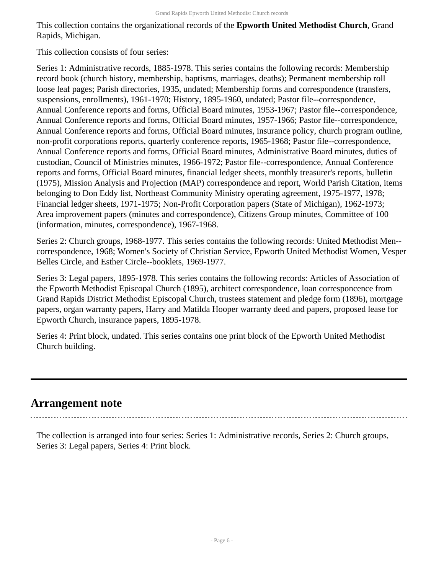This collection contains the organizational records of the **Epworth United Methodist Church**, Grand Rapids, Michigan.

This collection consists of four series:

Series 1: Administrative records, 1885-1978. This series contains the following records: Membership record book (church history, membership, baptisms, marriages, deaths); Permanent membership roll loose leaf pages; Parish directories, 1935, undated; Membership forms and correspondence (transfers, suspensions, enrollments), 1961-1970; History, 1895-1960, undated; Pastor file--correspondence, Annual Conference reports and forms, Official Board minutes, 1953-1967; Pastor file--correspondence, Annual Conference reports and forms, Official Board minutes, 1957-1966; Pastor file--correspondence, Annual Conference reports and forms, Official Board minutes, insurance policy, church program outline, non-profit corporations reports, quarterly conference reports, 1965-1968; Pastor file--correspondence, Annual Conference reports and forms, Official Board minutes, Administrative Board minutes, duties of custodian, Council of Ministries minutes, 1966-1972; Pastor file--correspondence, Annual Conference reports and forms, Official Board minutes, financial ledger sheets, monthly treasurer's reports, bulletin (1975), Mission Analysis and Projection (MAP) correspondence and report, World Parish Citation, items belonging to Don Eddy list, Northeast Community Ministry operating agreement, 1975-1977, 1978; Financial ledger sheets, 1971-1975; Non-Profit Corporation papers (State of Michigan), 1962-1973; Area improvement papers (minutes and correspondence), Citizens Group minutes, Committee of 100 (information, minutes, correspondence), 1967-1968.

Series 2: Church groups, 1968-1977. This series contains the following records: United Methodist Men- correspondence, 1968; Women's Society of Christian Service, Epworth United Methodist Women, Vesper Belles Circle, and Esther Circle--booklets, 1969-1977.

Series 3: Legal papers, 1895-1978. This series contains the following records: Articles of Association of the Epworth Methodist Episcopal Church (1895), architect correspondence, loan corresponcence from Grand Rapids District Methodist Episcopal Church, trustees statement and pledge form (1896), mortgage papers, organ warranty papers, Harry and Matilda Hooper warranty deed and papers, proposed lease for Epworth Church, insurance papers, 1895-1978.

Series 4: Print block, undated. This series contains one print block of the Epworth United Methodist Church building.

### <span id="page-5-0"></span>**Arrangement note**

The collection is arranged into four series: Series 1: Administrative records, Series 2: Church groups, Series 3: Legal papers, Series 4: Print block.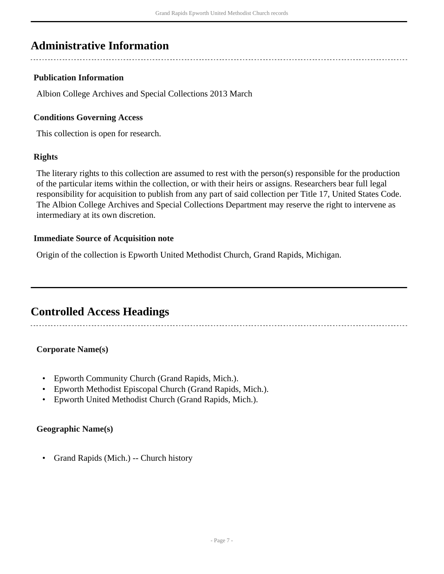### <span id="page-6-0"></span>**Administrative Information**

#### **Publication Information**

Albion College Archives and Special Collections 2013 March

#### **Conditions Governing Access**

This collection is open for research.

#### **Rights**

The literary rights to this collection are assumed to rest with the person(s) responsible for the production of the particular items within the collection, or with their heirs or assigns. Researchers bear full legal responsibility for acquisition to publish from any part of said collection per Title 17, United States Code. The Albion College Archives and Special Collections Department may reserve the right to intervene as intermediary at its own discretion.

#### **Immediate Source of Acquisition note**

Origin of the collection is Epworth United Methodist Church, Grand Rapids, Michigan.

### <span id="page-6-1"></span>**Controlled Access Headings**

#### **Corporate Name(s)**

- Epworth Community Church (Grand Rapids, Mich.).
- Epworth Methodist Episcopal Church (Grand Rapids, Mich.).
- Epworth United Methodist Church (Grand Rapids, Mich.).

#### **Geographic Name(s)**

• Grand Rapids (Mich.) -- Church history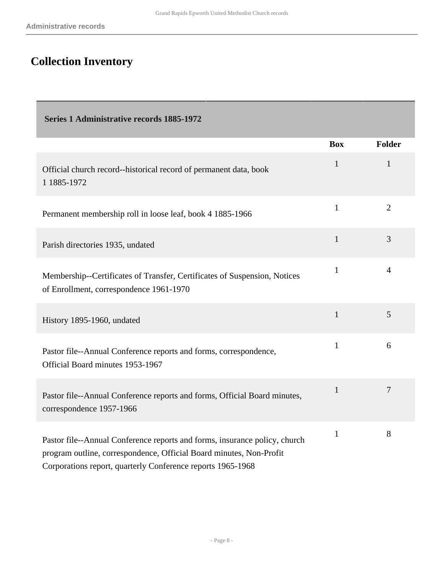# <span id="page-7-0"></span>**Collection Inventory**

<span id="page-7-1"></span>

| <b>Series 1 Administrative records 1885-1972</b>                                                                                                                                                                 |              |                |
|------------------------------------------------------------------------------------------------------------------------------------------------------------------------------------------------------------------|--------------|----------------|
|                                                                                                                                                                                                                  | <b>Box</b>   | <b>Folder</b>  |
| Official church record--historical record of permanent data, book<br>1 1885-1972                                                                                                                                 | $\mathbf{1}$ | $\mathbf{1}$   |
| Permanent membership roll in loose leaf, book 4 1885-1966                                                                                                                                                        | $\mathbf{1}$ | $\overline{2}$ |
| Parish directories 1935, undated                                                                                                                                                                                 | $\mathbf{1}$ | 3              |
| Membership--Certificates of Transfer, Certificates of Suspension, Notices<br>of Enrollment, correspondence 1961-1970                                                                                             | $\mathbf{1}$ | $\overline{4}$ |
| History 1895-1960, undated                                                                                                                                                                                       | $\mathbf{1}$ | 5              |
| Pastor file--Annual Conference reports and forms, correspondence,<br>Official Board minutes 1953-1967                                                                                                            | $\mathbf{1}$ | 6              |
| Pastor file--Annual Conference reports and forms, Official Board minutes,<br>correspondence 1957-1966                                                                                                            | $\mathbf{1}$ | $\overline{7}$ |
| Pastor file--Annual Conference reports and forms, insurance policy, church<br>program outline, correspondence, Official Board minutes, Non-Profit<br>Corporations report, quarterly Conference reports 1965-1968 | $\mathbf{1}$ | 8              |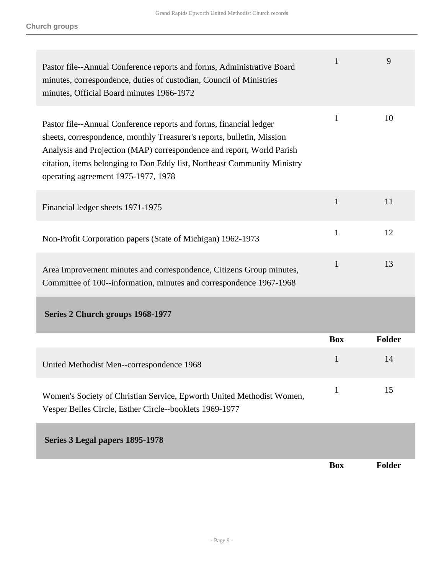<span id="page-8-1"></span><span id="page-8-0"></span>

| Pastor file--Annual Conference reports and forms, Administrative Board<br>minutes, correspondence, duties of custodian, Council of Ministries<br>minutes, Official Board minutes 1966-1972                                                                                                                                               | $\mathbf{1}$ | 9      |
|------------------------------------------------------------------------------------------------------------------------------------------------------------------------------------------------------------------------------------------------------------------------------------------------------------------------------------------|--------------|--------|
| Pastor file--Annual Conference reports and forms, financial ledger<br>sheets, correspondence, monthly Treasurer's reports, bulletin, Mission<br>Analysis and Projection (MAP) correspondence and report, World Parish<br>citation, items belonging to Don Eddy list, Northeast Community Ministry<br>operating agreement 1975-1977, 1978 | 1            | 10     |
| Financial ledger sheets 1971-1975                                                                                                                                                                                                                                                                                                        | $\mathbf{1}$ | 11     |
| Non-Profit Corporation papers (State of Michigan) 1962-1973                                                                                                                                                                                                                                                                              | $\mathbf{1}$ | 12     |
| Area Improvement minutes and correspondence, Citizens Group minutes,<br>Committee of 100--information, minutes and correspondence 1967-1968                                                                                                                                                                                              | $\mathbf{1}$ | 13     |
| Series 2 Church groups 1968-1977                                                                                                                                                                                                                                                                                                         |              |        |
|                                                                                                                                                                                                                                                                                                                                          | <b>Box</b>   | Folder |
| United Methodist Men--correspondence 1968                                                                                                                                                                                                                                                                                                | 1            | 14     |
| Women's Society of Christian Service, Epworth United Methodist Women,<br>Vesper Belles Circle, Esther Circle--booklets 1969-1977                                                                                                                                                                                                         | 1            | 15     |
| Series 3 Legal papers 1895-1978                                                                                                                                                                                                                                                                                                          |              |        |
|                                                                                                                                                                                                                                                                                                                                          | <b>Box</b>   | Folder |